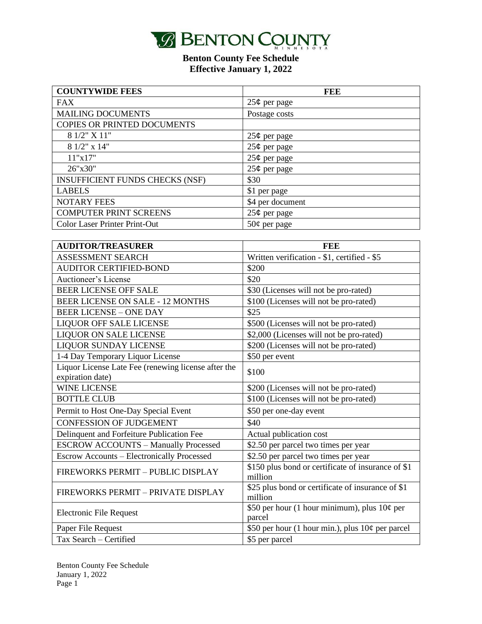

| <b>COUNTYWIDE FEES</b>                 | FEE              |
|----------------------------------------|------------------|
| <b>FAX</b>                             | $25¢$ per page   |
| <b>MAILING DOCUMENTS</b>               | Postage costs    |
| COPIES OR PRINTED DOCUMENTS            |                  |
| 8 1/2" X 11"                           | $25¢$ per page   |
| 8 1/2" x 14"                           | $25¢$ per page   |
| 11"x17"                                | $25¢$ per page   |
| 26"x30"                                | $25¢$ per page   |
| <b>INSUFFICIENT FUNDS CHECKS (NSF)</b> | \$30             |
| <b>LABELS</b>                          | \$1 per page     |
| <b>NOTARY FEES</b>                     | \$4 per document |
| <b>COMPUTER PRINT SCREENS</b>          | $25¢$ per page   |
| <b>Color Laser Printer Print-Out</b>   | $50¢$ per page   |

| <b>AUDITOR/TREASURER</b>                                                | FEE                                                           |
|-------------------------------------------------------------------------|---------------------------------------------------------------|
| <b>ASSESSMENT SEARCH</b>                                                | Written verification - \$1, certified - \$5                   |
| <b>AUDITOR CERTIFIED-BOND</b>                                           | \$200                                                         |
| Auctioneer's License                                                    | \$20                                                          |
| <b>BEER LICENSE OFF SALE</b>                                            | \$30 (Licenses will not be pro-rated)                         |
| <b>BEER LICENSE ON SALE - 12 MONTHS</b>                                 | \$100 (Licenses will not be pro-rated)                        |
| <b>BEER LICENSE - ONE DAY</b>                                           | \$25                                                          |
| LIQUOR OFF SALE LICENSE                                                 | \$500 (Licenses will not be pro-rated)                        |
| LIQUOR ON SALE LICENSE                                                  | \$2,000 (Licenses will not be pro-rated)                      |
| <b>LIQUOR SUNDAY LICENSE</b>                                            | \$200 (Licenses will not be pro-rated)                        |
| 1-4 Day Temporary Liquor License                                        | \$50 per event                                                |
| Liquor License Late Fee (renewing license after the<br>expiration date) | \$100                                                         |
| <b>WINE LICENSE</b>                                                     | \$200 (Licenses will not be pro-rated)                        |
| <b>BOTTLE CLUB</b>                                                      | \$100 (Licenses will not be pro-rated)                        |
| Permit to Host One-Day Special Event                                    | \$50 per one-day event                                        |
| <b>CONFESSION OF JUDGEMENT</b>                                          | \$40                                                          |
| Delinquent and Forfeiture Publication Fee                               | Actual publication cost                                       |
| <b>ESCROW ACCOUNTS - Manually Processed</b>                             | \$2.50 per parcel two times per year                          |
| <b>Escrow Accounts - Electronically Processed</b>                       | \$2.50 per parcel two times per year                          |
| FIREWORKS PERMIT - PUBLIC DISPLAY                                       | \$150 plus bond or certificate of insurance of \$1<br>million |
| FIREWORKS PERMIT - PRIVATE DISPLAY                                      | \$25 plus bond or certificate of insurance of \$1<br>million  |
| <b>Electronic File Request</b>                                          | \$50 per hour (1 hour minimum), plus $10¢$ per<br>parcel      |
| Paper File Request                                                      | \$50 per hour (1 hour min.), plus 10¢ per parcel              |
| Tax Search - Certified                                                  | \$5 per parcel                                                |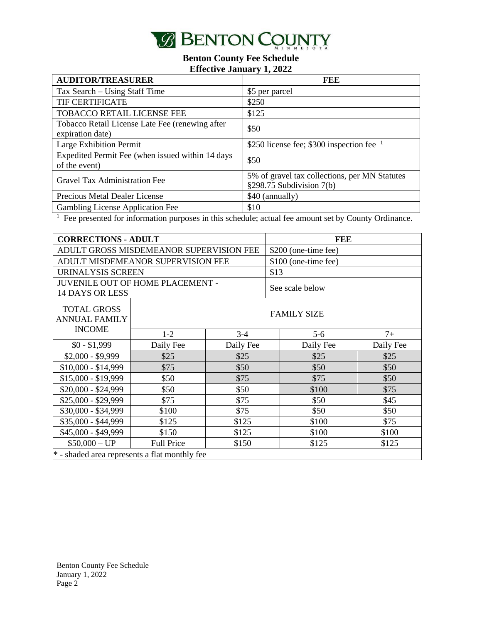

| <b>AUDITOR/TREASURER</b>                         | FEE                                           |
|--------------------------------------------------|-----------------------------------------------|
| Tax Search – Using Staff Time                    | \$5 per parcel                                |
| TIF CERTIFICATE                                  | \$250                                         |
| <b>TOBACCO RETAIL LICENSE FEE</b>                | \$125                                         |
| Tobacco Retail License Late Fee (renewing after  | \$50                                          |
| expiration date)                                 |                                               |
| Large Exhibition Permit                          | \$250 license fee; \$300 inspection fee $1$   |
| Expedited Permit Fee (when issued within 14 days | \$50                                          |
| of the event)                                    |                                               |
| <b>Gravel Tax Administration Fee</b>             | 5% of gravel tax collections, per MN Statutes |
|                                                  | §298.75 Subdivision $7(b)$                    |
| <b>Precious Metal Dealer License</b>             | \$40 (annually)                               |
| <b>Gambling License Application Fee</b>          | \$10                                          |

<sup>1</sup> Fee presented for information purposes in this schedule; actual fee amount set by County Ordinance.

| <b>CORRECTIONS - ADULT</b>                                 |                                   |                      | <b>FEE</b> |                      |           |  |
|------------------------------------------------------------|-----------------------------------|----------------------|------------|----------------------|-----------|--|
| ADULT GROSS MISDEMEANOR SUPERVISION FEE                    |                                   | \$200 (one-time fee) |            |                      |           |  |
|                                                            | ADULT MISDEMEANOR SUPERVISION FEE |                      |            | \$100 (one-time fee) |           |  |
| <b>URINALYSIS SCREEN</b>                                   |                                   |                      |            | \$13                 |           |  |
| JUVENILE OUT OF HOME PLACEMENT -<br><b>14 DAYS OR LESS</b> |                                   | See scale below      |            |                      |           |  |
| <b>TOTAL GROSS</b><br><b>ANNUAL FAMILY</b>                 |                                   |                      |            | <b>FAMILY SIZE</b>   |           |  |
| <b>INCOME</b>                                              | $1-2$                             | $3 - 4$              |            | $5-6$                | $7+$      |  |
| $$0 - $1,999$                                              | Daily Fee                         | Daily Fee            |            | Daily Fee            | Daily Fee |  |
| $$2,000 - $9,999$                                          | \$25                              | \$25                 |            | \$25                 | \$25      |  |
| $$10,000 - $14,999$                                        | \$75                              | \$50                 |            | \$50                 | \$50      |  |
| $$15,000 - $19,999$                                        | \$50                              | \$75                 |            | \$75                 | \$50      |  |
| $$20,000 - $24,999$                                        | \$50                              | \$50                 |            | \$100                | \$75      |  |
| \$25,000 - \$29,999                                        | \$75                              | \$75                 |            | \$50                 | \$45      |  |
| \$30,000 - \$34,999                                        | \$100                             | \$75                 |            | \$50                 | \$50      |  |
| \$35,000 - \$44,999                                        | \$125                             | \$125                |            | \$100                | \$75      |  |
| \$45,000 - \$49,999                                        | \$150                             | \$125                |            | \$100                | \$100     |  |
| $$50,000 - UP$                                             | <b>Full Price</b><br>\$150        |                      |            | \$125                | \$125     |  |
| $*$ - shaded area represents a flat monthly fee            |                                   |                      |            |                      |           |  |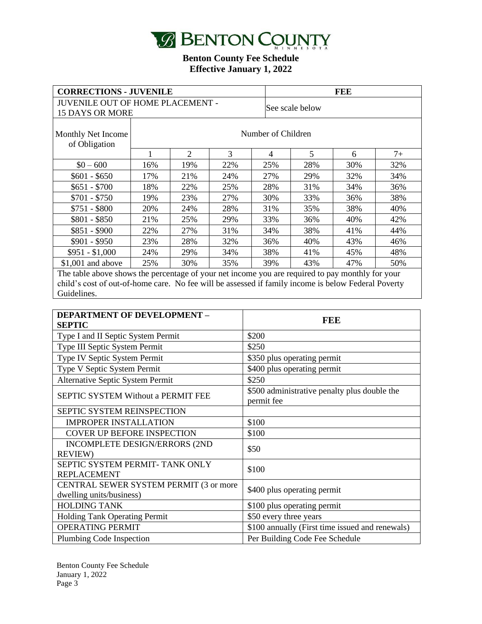

| <b>CORRECTIONS - JUVENILE</b>                                                                    |                    |     |     |     | <b>FEE</b>      |     |      |
|--------------------------------------------------------------------------------------------------|--------------------|-----|-----|-----|-----------------|-----|------|
| <b>JUVENILE OUT OF HOME PLACEMENT -</b>                                                          |                    |     |     |     |                 |     |      |
| <b>15 DAYS OR MORE</b>                                                                           |                    |     |     |     | See scale below |     |      |
| Monthly Net Income<br>of Obligation                                                              | Number of Children |     |     |     |                 |     |      |
|                                                                                                  |                    | 2   | 3   | 4   | 5               | 6   | $7+$ |
| $$0 - 600$                                                                                       | 16%                | 19% | 22% | 25% | 28%             | 30% | 32%  |
| $$601 - $650$                                                                                    | 17%                | 21% | 24% | 27% | 29%             | 32% | 34%  |
| $$651 - $700$                                                                                    | 18%                | 22% | 25% | 28% | 31%             | 34% | 36%  |
| $$701 - $750$                                                                                    | 19%                | 23% | 27% | 30% | 33%             | 36% | 38%  |
| $$751 - $800$                                                                                    | 20%                | 24% | 28% | 31% | 35%             | 38% | 40%  |
| $$801 - $850$                                                                                    | 21%                | 25% | 29% | 33% | 36%             | 40% | 42%  |
| $$851 - $900$                                                                                    | 22%                | 27% | 31% | 34% | 38%             | 41% | 44%  |
| $$901 - $950$                                                                                    | 23%                | 28% | 32% | 36% | 40%             | 43% | 46%  |
| $$951 - $1,000$                                                                                  | 24%                | 29% | 34% | 38% | 41%             | 45% | 48%  |
| $$1,001$ and above                                                                               | 25%                | 30% | 35% | 39% | 43%             | 47% | 50%  |
| The table above shows the percentage of your net income you are required to pay monthly for your |                    |     |     |     |                 |     |      |

child's cost of out-of-home care. No fee will be assessed if family income is below Federal Poverty Guidelines.

| <b>DEPARTMENT OF DEVELOPMENT -</b><br><b>SEPTIC</b>                | <b>FEE</b>                                                 |
|--------------------------------------------------------------------|------------------------------------------------------------|
| Type I and II Septic System Permit                                 | \$200                                                      |
| Type III Septic System Permit                                      | \$250                                                      |
| Type IV Septic System Permit                                       | \$350 plus operating permit                                |
| Type V Septic System Permit                                        | \$400 plus operating permit                                |
| Alternative Septic System Permit                                   | \$250                                                      |
| <b>SEPTIC SYSTEM Without a PERMIT FEE</b>                          | \$500 administrative penalty plus double the<br>permit fee |
| <b>SEPTIC SYSTEM REINSPECTION</b>                                  |                                                            |
| <b>IMPROPER INSTALLATION</b>                                       | \$100                                                      |
| <b>COVER UP BEFORE INSPECTION</b>                                  | \$100                                                      |
| INCOMPLETE DESIGN/ERRORS (2ND<br><b>REVIEW)</b>                    | \$50                                                       |
| SEPTIC SYSTEM PERMIT-TANK ONLY<br><b>REPLACEMENT</b>               | \$100                                                      |
| CENTRAL SEWER SYSTEM PERMIT (3 or more<br>dwelling units/business) | \$400 plus operating permit                                |
| <b>HOLDING TANK</b>                                                | \$100 plus operating permit                                |
| <b>Holding Tank Operating Permit</b>                               | \$50 every three years                                     |
| <b>OPERATING PERMIT</b>                                            | \$100 annually (First time issued and renewals)            |
| Plumbing Code Inspection                                           | Per Building Code Fee Schedule                             |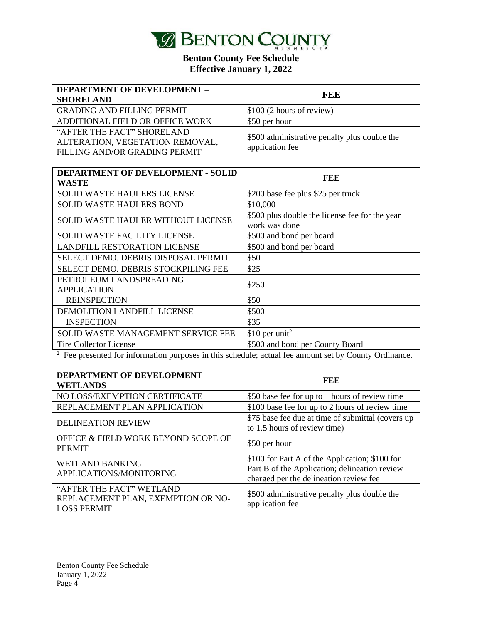

| <b>DEPARTMENT OF DEVELOPMENT -</b><br><b>SHORELAND</b>        | FEE                                          |
|---------------------------------------------------------------|----------------------------------------------|
| <b>GRADING AND FILLING PERMIT</b>                             | \$100 (2 hours of review)                    |
| ADDITIONAL FIELD OR OFFICE WORK                               | \$50 per hour                                |
| "AFTER THE FACT" SHORELAND<br>ALTERATION, VEGETATION REMOVAL, | \$500 administrative penalty plus double the |
| FILLING AND/OR GRADING PERMIT                                 | application fee                              |

| <b>DEPARTMENT OF DEVELOPMENT - SOLID</b><br><b>WASTE</b> | <b>FEE</b>                                                      |
|----------------------------------------------------------|-----------------------------------------------------------------|
| <b>SOLID WASTE HAULERS LICENSE</b>                       | \$200 base fee plus \$25 per truck                              |
| <b>SOLID WASTE HAULERS BOND</b>                          | \$10,000                                                        |
| SOLID WASTE HAULER WITHOUT LICENSE                       | \$500 plus double the license fee for the year<br>work was done |
| <b>SOLID WASTE FACILITY LICENSE</b>                      | \$500 and bond per board                                        |
| <b>LANDFILL RESTORATION LICENSE</b>                      | \$500 and bond per board                                        |
| SELECT DEMO. DEBRIS DISPOSAL PERMIT                      | \$50                                                            |
| SELECT DEMO. DEBRIS STOCKPILING FEE                      | \$25                                                            |
| PETROLEUM LANDSPREADING<br><b>APPLICATION</b>            | \$250                                                           |
| <b>REINSPECTION</b>                                      | \$50                                                            |
| DEMOLITION LANDFILL LICENSE                              | \$500                                                           |
| <b>INSPECTION</b>                                        | \$35                                                            |
| SOLID WASTE MANAGEMENT SERVICE FEE                       | $$10$ per unit <sup>2</sup>                                     |
| <b>Tire Collector License</b>                            | \$500 and bond per County Board                                 |

 $2$  Fee presented for information purposes in this schedule; actual fee amount set by County Ordinance.

| <b>DEPARTMENT OF DEVELOPMENT -</b><br><b>WETLANDS</b>                                | <b>FEE</b>                                                                                                                                |
|--------------------------------------------------------------------------------------|-------------------------------------------------------------------------------------------------------------------------------------------|
| NO LOSS/EXEMPTION CERTIFICATE                                                        | \$50 base fee for up to 1 hours of review time                                                                                            |
| REPLACEMENT PLAN APPLICATION                                                         | \$100 base fee for up to 2 hours of review time                                                                                           |
| <b>DELINEATION REVIEW</b>                                                            | \$75 base fee due at time of submittal (covers up<br>to 1.5 hours of review time)                                                         |
| OFFICE & FIELD WORK BEYOND SCOPE OF<br><b>PERMIT</b>                                 | \$50 per hour                                                                                                                             |
| <b>WETLAND BANKING</b><br>APPLICATIONS/MONITORING                                    | \$100 for Part A of the Application; \$100 for<br>Part B of the Application; delineation review<br>charged per the delineation review fee |
| "AFTER THE FACT" WETLAND<br>REPLACEMENT PLAN, EXEMPTION OR NO-<br><b>LOSS PERMIT</b> | \$500 administrative penalty plus double the<br>application fee                                                                           |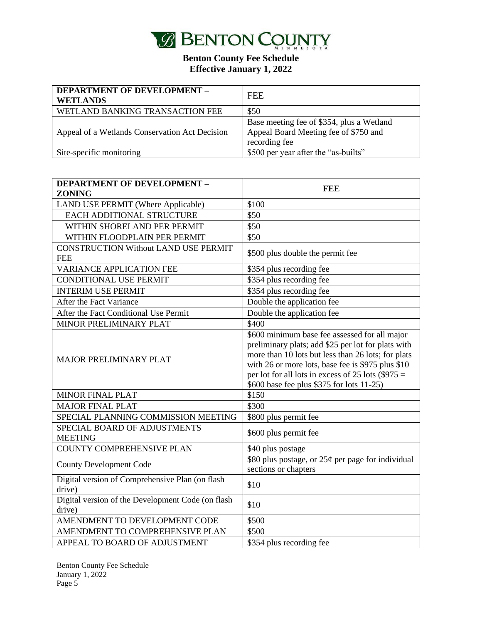

| <b>DEPARTMENT OF DEVELOPMENT -</b><br><b>WETLANDS</b> | <b>FEE</b>                                                                                          |
|-------------------------------------------------------|-----------------------------------------------------------------------------------------------------|
| WETLAND BANKING TRANSACTION FEE                       | \$50                                                                                                |
| Appeal of a Wetlands Conservation Act Decision        | Base meeting fee of \$354, plus a Wetland<br>Appeal Board Meeting fee of \$750 and<br>recording fee |
| Site-specific monitoring                              | \$500 per year after the "as-builts"                                                                |

| <b>DEPARTMENT OF DEVELOPMENT -</b>                          | <b>FEE</b>                                                                                                                                                                                                                                                                                                          |
|-------------------------------------------------------------|---------------------------------------------------------------------------------------------------------------------------------------------------------------------------------------------------------------------------------------------------------------------------------------------------------------------|
| <b>ZONING</b>                                               |                                                                                                                                                                                                                                                                                                                     |
| LAND USE PERMIT (Where Applicable)                          | \$100                                                                                                                                                                                                                                                                                                               |
| <b>EACH ADDITIONAL STRUCTURE</b>                            | \$50                                                                                                                                                                                                                                                                                                                |
| WITHIN SHORELAND PER PERMIT                                 | \$50                                                                                                                                                                                                                                                                                                                |
| WITHIN FLOODPLAIN PER PERMIT                                | \$50                                                                                                                                                                                                                                                                                                                |
| <b>CONSTRUCTION Without LAND USE PERMIT</b><br><b>FEE</b>   | \$500 plus double the permit fee                                                                                                                                                                                                                                                                                    |
| <b>VARIANCE APPLICATION FEE</b>                             | \$354 plus recording fee                                                                                                                                                                                                                                                                                            |
| <b>CONDITIONAL USE PERMIT</b>                               | \$354 plus recording fee                                                                                                                                                                                                                                                                                            |
| <b>INTERIM USE PERMIT</b>                                   | \$354 plus recording fee                                                                                                                                                                                                                                                                                            |
| After the Fact Variance                                     | Double the application fee                                                                                                                                                                                                                                                                                          |
| After the Fact Conditional Use Permit                       | Double the application fee                                                                                                                                                                                                                                                                                          |
| MINOR PRELIMINARY PLAT                                      | \$400                                                                                                                                                                                                                                                                                                               |
| MAJOR PRELIMINARY PLAT                                      | \$600 minimum base fee assessed for all major<br>preliminary plats; add \$25 per lot for plats with<br>more than 10 lots but less than 26 lots; for plats<br>with 26 or more lots, base fee is \$975 plus \$10<br>per lot for all lots in excess of 25 lots $(\$975 =$<br>\$600 base fee plus \$375 for lots 11-25) |
| <b>MINOR FINAL PLAT</b>                                     | \$150                                                                                                                                                                                                                                                                                                               |
| <b>MAJOR FINAL PLAT</b>                                     | \$300                                                                                                                                                                                                                                                                                                               |
| SPECIAL PLANNING COMMISSION MEETING                         | \$800 plus permit fee                                                                                                                                                                                                                                                                                               |
| SPECIAL BOARD OF ADJUSTMENTS<br><b>MEETING</b>              | \$600 plus permit fee                                                                                                                                                                                                                                                                                               |
| <b>COUNTY COMPREHENSIVE PLAN</b>                            | \$40 plus postage                                                                                                                                                                                                                                                                                                   |
| <b>County Development Code</b>                              | \$80 plus postage, or $25¢$ per page for individual<br>sections or chapters                                                                                                                                                                                                                                         |
| Digital version of Comprehensive Plan (on flash<br>drive)   | \$10                                                                                                                                                                                                                                                                                                                |
| Digital version of the Development Code (on flash<br>drive) | \$10                                                                                                                                                                                                                                                                                                                |
| AMENDMENT TO DEVELOPMENT CODE                               | \$500                                                                                                                                                                                                                                                                                                               |
| AMENDMENT TO COMPREHENSIVE PLAN                             | \$500                                                                                                                                                                                                                                                                                                               |
| APPEAL TO BOARD OF ADJUSTMENT                               | \$354 plus recording fee                                                                                                                                                                                                                                                                                            |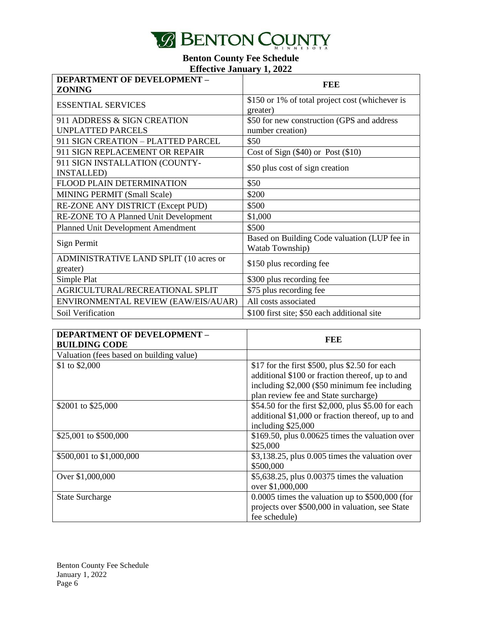

| <b>DEPARTMENT OF DEVELOPMENT -</b><br><b>ZONING</b> | FEE                                                             |
|-----------------------------------------------------|-----------------------------------------------------------------|
| <b>ESSENTIAL SERVICES</b>                           | \$150 or 1% of total project cost (whichever is<br>greater)     |
| 911 ADDRESS & SIGN CREATION                         | \$50 for new construction (GPS and address                      |
| <b>UNPLATTED PARCELS</b>                            | number creation)                                                |
| 911 SIGN CREATION - PLATTED PARCEL                  | \$50                                                            |
| 911 SIGN REPLACEMENT OR REPAIR                      | Cost of Sign $(\$40)$ or Post $(\$10)$                          |
| 911 SIGN INSTALLATION (COUNTY-                      | \$50 plus cost of sign creation                                 |
| <b>INSTALLED)</b>                                   |                                                                 |
| FLOOD PLAIN DETERMINATION                           | \$50                                                            |
| MINING PERMIT (Small Scale)                         | \$200                                                           |
| RE-ZONE ANY DISTRICT (Except PUD)                   | \$500                                                           |
| RE-ZONE TO A Planned Unit Development               | \$1,000                                                         |
| <b>Planned Unit Development Amendment</b>           | \$500                                                           |
| Sign Permit                                         | Based on Building Code valuation (LUP fee in<br>Watab Township) |
| ADMINISTRATIVE LAND SPLIT (10 acres or              | \$150 plus recording fee                                        |
| greater)                                            |                                                                 |
| Simple Plat                                         | \$300 plus recording fee                                        |
| AGRICULTURAL/RECREATIONAL SPLIT                     | \$75 plus recording fee                                         |
| ENVIRONMENTAL REVIEW (EAW/EIS/AUAR)                 | All costs associated                                            |
| Soil Verification                                   | \$100 first site; \$50 each additional site                     |

| <b>DEPARTMENT OF DEVELOPMENT -</b><br><b>BUILDING CODE</b> | FEE                                                                                                                                                                                        |
|------------------------------------------------------------|--------------------------------------------------------------------------------------------------------------------------------------------------------------------------------------------|
| Valuation (fees based on building value)                   |                                                                                                                                                                                            |
| \$1 to \$2,000                                             | \$17 for the first \$500, plus \$2.50 for each<br>additional \$100 or fraction thereof, up to and<br>including \$2,000 (\$50 minimum fee including<br>plan review fee and State surcharge) |
| \$2001 to \$25,000                                         | \$54.50 for the first \$2,000, plus \$5.00 for each<br>additional \$1,000 or fraction thereof, up to and<br>including \$25,000                                                             |
| \$25,001 to \$500,000                                      | \$169.50, plus 0.00625 times the valuation over<br>\$25,000                                                                                                                                |
| \$500,001 to \$1,000,000                                   | $$3,138.25$ , plus 0.005 times the valuation over<br>\$500,000                                                                                                                             |
| Over \$1,000,000                                           | \$5,638.25, plus 0.00375 times the valuation<br>over \$1,000,000                                                                                                                           |
| <b>State Surcharge</b>                                     | $0.0005$ times the valuation up to \$500,000 (for<br>projects over \$500,000 in valuation, see State<br>fee schedule)                                                                      |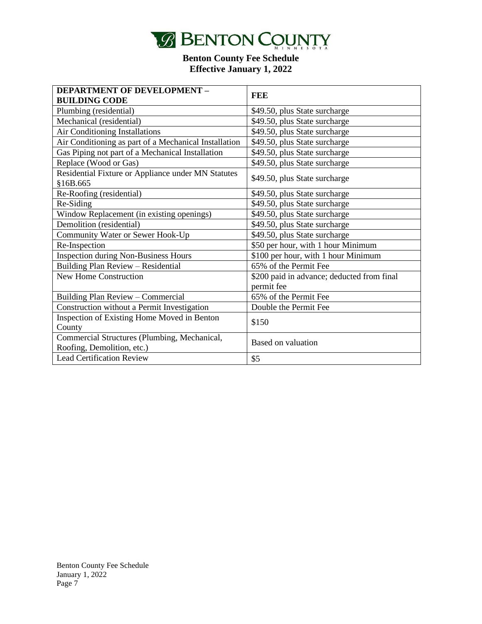

| <b>DEPARTMENT OF DEVELOPMENT -</b>                                         | FEE                                        |
|----------------------------------------------------------------------------|--------------------------------------------|
| <b>BUILDING CODE</b>                                                       |                                            |
| Plumbing (residential)                                                     | \$49.50, plus State surcharge              |
| Mechanical (residential)                                                   | \$49.50, plus State surcharge              |
| Air Conditioning Installations                                             | \$49.50, plus State surcharge              |
| Air Conditioning as part of a Mechanical Installation                      | \$49.50, plus State surcharge              |
| Gas Piping not part of a Mechanical Installation                           | \$49.50, plus State surcharge              |
| Replace (Wood or Gas)                                                      | \$49.50, plus State surcharge              |
| Residential Fixture or Appliance under MN Statutes<br>§16B.665             | \$49.50, plus State surcharge              |
| Re-Roofing (residential)                                                   | \$49.50, plus State surcharge              |
| Re-Siding                                                                  | \$49.50, plus State surcharge              |
| Window Replacement (in existing openings)                                  | \$49.50, plus State surcharge              |
| Demolition (residential)                                                   | \$49.50, plus State surcharge              |
| Community Water or Sewer Hook-Up                                           | \$49.50, plus State surcharge              |
| Re-Inspection                                                              | \$50 per hour, with 1 hour Minimum         |
| <b>Inspection during Non-Business Hours</b>                                | \$100 per hour, with 1 hour Minimum        |
| Building Plan Review - Residential                                         | 65% of the Permit Fee                      |
| <b>New Home Construction</b>                                               | \$200 paid in advance; deducted from final |
|                                                                            | permit fee                                 |
| Building Plan Review - Commercial                                          | 65% of the Permit Fee                      |
| Construction without a Permit Investigation                                | Double the Permit Fee                      |
| Inspection of Existing Home Moved in Benton<br>County                      | \$150                                      |
| Commercial Structures (Plumbing, Mechanical,<br>Roofing, Demolition, etc.) | Based on valuation                         |
| <b>Lead Certification Review</b>                                           | \$5                                        |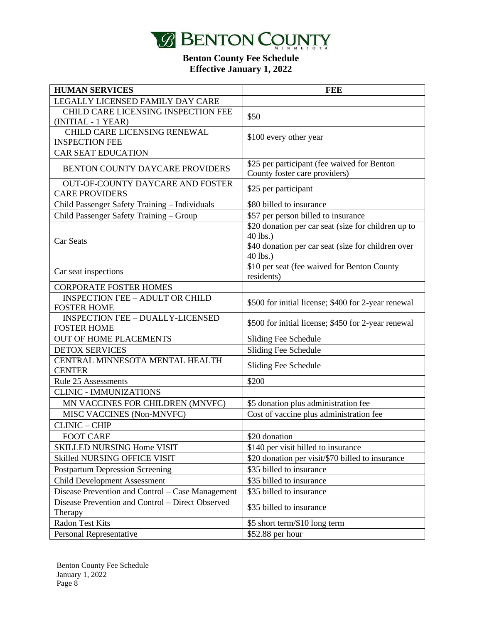

| <b>HUMAN SERVICES</b>                                            | <b>FEE</b>                                                                                                                        |
|------------------------------------------------------------------|-----------------------------------------------------------------------------------------------------------------------------------|
| LEGALLY LICENSED FAMILY DAY CARE                                 |                                                                                                                                   |
| CHILD CARE LICENSING INSPECTION FEE                              | \$50                                                                                                                              |
| (INITIAL - 1 YEAR)                                               |                                                                                                                                   |
| CHILD CARE LICENSING RENEWAL                                     | \$100 every other year                                                                                                            |
| <b>INSPECTION FEE</b>                                            |                                                                                                                                   |
| <b>CAR SEAT EDUCATION</b>                                        |                                                                                                                                   |
| BENTON COUNTY DAYCARE PROVIDERS                                  | \$25 per participant (fee waived for Benton<br>County foster care providers)                                                      |
| <b>OUT-OF-COUNTY DAYCARE AND FOSTER</b><br><b>CARE PROVIDERS</b> | \$25 per participant                                                                                                              |
| Child Passenger Safety Training - Individuals                    | \$80 billed to insurance                                                                                                          |
| Child Passenger Safety Training - Group                          | \$57 per person billed to insurance                                                                                               |
| Car Seats                                                        | \$20 donation per car seat (size for children up to<br>40 lbs.)<br>\$40 donation per car seat (size for children over<br>40 lbs.) |
| Car seat inspections                                             | \$10 per seat (fee waived for Benton County<br>residents)                                                                         |
| <b>CORPORATE FOSTER HOMES</b>                                    |                                                                                                                                   |
| <b>INSPECTION FEE - ADULT OR CHILD</b><br><b>FOSTER HOME</b>     | \$500 for initial license; \$400 for 2-year renewal                                                                               |
| <b>INSPECTION FEE - DUALLY-LICENSED</b><br><b>FOSTER HOME</b>    | \$500 for initial license; \$450 for 2-year renewal                                                                               |
| <b>OUT OF HOME PLACEMENTS</b>                                    | Sliding Fee Schedule                                                                                                              |
| <b>DETOX SERVICES</b>                                            | Sliding Fee Schedule                                                                                                              |
| CENTRAL MINNESOTA MENTAL HEALTH<br><b>CENTER</b>                 | Sliding Fee Schedule                                                                                                              |
| Rule 25 Assessments                                              | \$200                                                                                                                             |
| <b>CLINIC - IMMUNIZATIONS</b>                                    |                                                                                                                                   |
| MN VACCINES FOR CHILDREN (MNVFC)                                 | \$5 donation plus administration fee                                                                                              |
| MISC VACCINES (Non-MNVFC)                                        | Cost of vaccine plus administration fee                                                                                           |
| CLINIC - CHIP                                                    |                                                                                                                                   |
| FOOT CARE                                                        | \$20 donation                                                                                                                     |
| <b>SKILLED NURSING Home VISIT</b>                                | \$140 per visit billed to insurance                                                                                               |
| <b>Skilled NURSING OFFICE VISIT</b>                              | \$20 donation per visit/\$70 billed to insurance                                                                                  |
| <b>Postpartum Depression Screening</b>                           | \$35 billed to insurance                                                                                                          |
| <b>Child Development Assessment</b>                              | \$35 billed to insurance                                                                                                          |
| Disease Prevention and Control - Case Management                 | \$35 billed to insurance                                                                                                          |
| Disease Prevention and Control - Direct Observed<br>Therapy      | \$35 billed to insurance                                                                                                          |
| Radon Test Kits                                                  | \$5 short term/\$10 long term                                                                                                     |
| Personal Representative                                          | \$52.88 per hour                                                                                                                  |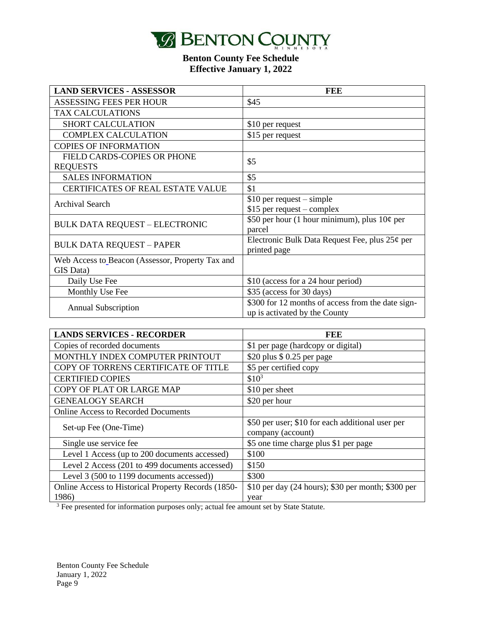

| <b>LAND SERVICES - ASSESSOR</b>                               | FEE                                                                                |
|---------------------------------------------------------------|------------------------------------------------------------------------------------|
| ASSESSING FEES PER HOUR                                       | \$45                                                                               |
| <b>TAX CALCULATIONS</b>                                       |                                                                                    |
| <b>SHORT CALCULATION</b>                                      | \$10 per request                                                                   |
| <b>COMPLEX CALCULATION</b>                                    | \$15 per request                                                                   |
| <b>COPIES OF INFORMATION</b>                                  |                                                                                    |
| FIELD CARDS-COPIES OR PHONE<br><b>REQUESTS</b>                | \$5                                                                                |
| <b>SALES INFORMATION</b>                                      | \$5                                                                                |
| CERTIFICATES OF REAL ESTATE VALUE                             | \$1                                                                                |
| Archival Search                                               | $$10$ per request – simple<br>\$15 per request – complex                           |
| <b>BULK DATA REQUEST - ELECTRONIC</b>                         | \$50 per hour (1 hour minimum), plus $10¢$ per<br>parcel                           |
| <b>BULK DATA REQUEST - PAPER</b>                              | Electronic Bulk Data Request Fee, plus $25¢$ per<br>printed page                   |
| Web Access to Beacon (Assessor, Property Tax and<br>GIS Data) |                                                                                    |
| Daily Use Fee                                                 | \$10 (access for a 24 hour period)                                                 |
| Monthly Use Fee                                               | \$35 (access for 30 days)                                                          |
| <b>Annual Subscription</b>                                    | \$300 for 12 months of access from the date sign-<br>up is activated by the County |

| <b>LANDS SERVICES - RECORDER</b>                    | FEE                                                                   |
|-----------------------------------------------------|-----------------------------------------------------------------------|
| Copies of recorded documents                        | \$1 per page (hardcopy or digital)                                    |
| MONTHLY INDEX COMPUTER PRINTOUT                     | \$20 plus $$0.25$ per page                                            |
| COPY OF TORRENS CERTIFICATE OF TITLE                | \$5 per certified copy                                                |
| <b>CERTIFIED COPIES</b>                             | $$10^3$                                                               |
| COPY OF PLAT OR LARGE MAP                           | \$10 per sheet                                                        |
| <b>GENEALOGY SEARCH</b>                             | \$20 per hour                                                         |
| <b>Online Access to Recorded Documents</b>          |                                                                       |
| Set-up Fee (One-Time)                               | \$50 per user; \$10 for each additional user per<br>company (account) |
| Single use service fee                              | \$5 one time charge plus \$1 per page                                 |
| Level 1 Access (up to 200 documents accessed)       | \$100                                                                 |
| Level 2 Access (201 to 499 documents accessed)      | \$150                                                                 |
| Level 3 (500 to 1199 documents accessed))           | \$300                                                                 |
| Online Access to Historical Property Records (1850- | \$10 per day (24 hours); \$30 per month; \$300 per                    |
| 1986)                                               | year                                                                  |

<sup>3</sup> Fee presented for information purposes only; actual fee amount set by State Statute.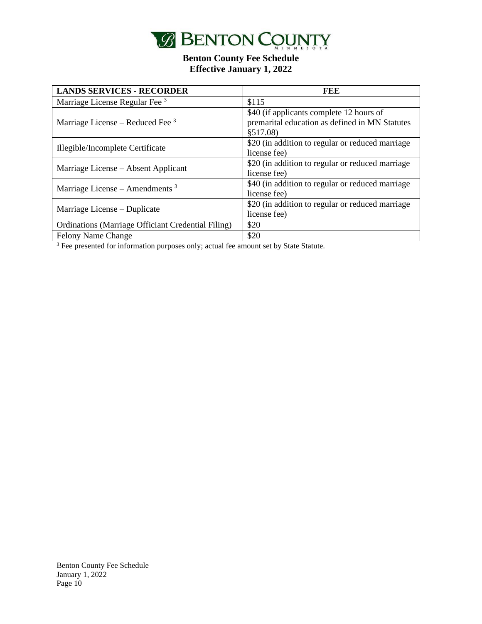

| <b>LANDS SERVICES - RECORDER</b>                   | FEE                                                                                                    |
|----------------------------------------------------|--------------------------------------------------------------------------------------------------------|
| Marriage License Regular Fee <sup>3</sup>          | \$115                                                                                                  |
| Marriage License – Reduced Fee $3$                 | \$40 (if applicants complete 12 hours of<br>premarital education as defined in MN Statutes<br>\$517.08 |
| Illegible/Incomplete Certificate                   | \$20 (in addition to regular or reduced marriage<br>license fee)                                       |
| Marriage License – Absent Applicant                | \$20 (in addition to regular or reduced marriage)<br>license fee)                                      |
| Marriage License – Amendments <sup>3</sup>         | \$40 (in addition to regular or reduced marriage)<br>license fee)                                      |
| Marriage License – Duplicate                       | \$20 (in addition to regular or reduced marriage<br>license fee)                                       |
| Ordinations (Marriage Officiant Credential Filing) | \$20                                                                                                   |
| <b>Felony Name Change</b>                          | \$20                                                                                                   |

 $3$  Fee presented for information purposes only; actual fee amount set by State Statute.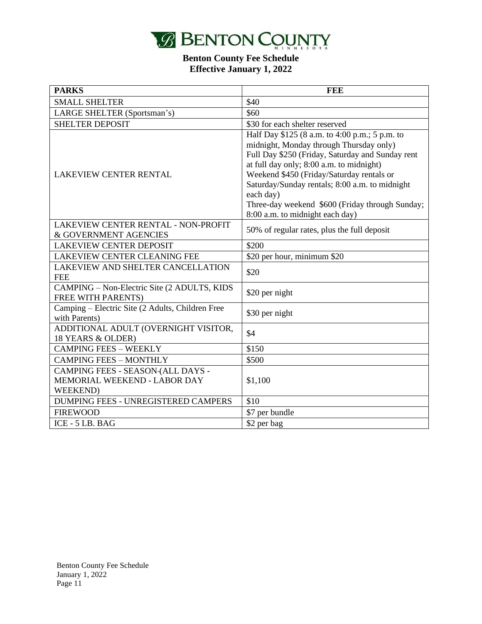

| <b>PARKS</b>                                                                          | <b>FEE</b>                                                                                                                                                                                                                                                                                                                                                                                  |
|---------------------------------------------------------------------------------------|---------------------------------------------------------------------------------------------------------------------------------------------------------------------------------------------------------------------------------------------------------------------------------------------------------------------------------------------------------------------------------------------|
| <b>SMALL SHELTER</b>                                                                  | \$40                                                                                                                                                                                                                                                                                                                                                                                        |
| LARGE SHELTER (Sportsman's)                                                           | \$60                                                                                                                                                                                                                                                                                                                                                                                        |
| <b>SHELTER DEPOSIT</b>                                                                | \$30 for each shelter reserved                                                                                                                                                                                                                                                                                                                                                              |
| <b>LAKEVIEW CENTER RENTAL</b>                                                         | Half Day \$125 (8 a.m. to 4:00 p.m.; 5 p.m. to<br>midnight, Monday through Thursday only)<br>Full Day \$250 (Friday, Saturday and Sunday rent<br>at full day only; 8:00 a.m. to midnight)<br>Weekend \$450 (Friday/Saturday rentals or<br>Saturday/Sunday rentals; 8:00 a.m. to midnight<br>each day)<br>Three-day weekend \$600 (Friday through Sunday;<br>8:00 a.m. to midnight each day) |
| <b>LAKEVIEW CENTER RENTAL - NON-PROFIT</b><br>& GOVERNMENT AGENCIES                   | 50% of regular rates, plus the full deposit                                                                                                                                                                                                                                                                                                                                                 |
| <b>LAKEVIEW CENTER DEPOSIT</b>                                                        | \$200                                                                                                                                                                                                                                                                                                                                                                                       |
| LAKEVIEW CENTER CLEANING FEE                                                          | \$20 per hour, minimum \$20                                                                                                                                                                                                                                                                                                                                                                 |
| LAKEVIEW AND SHELTER CANCELLATION<br><b>FEE</b>                                       | \$20                                                                                                                                                                                                                                                                                                                                                                                        |
| CAMPING - Non-Electric Site (2 ADULTS, KIDS<br>FREE WITH PARENTS)                     | \$20 per night                                                                                                                                                                                                                                                                                                                                                                              |
| Camping - Electric Site (2 Adults, Children Free<br>with Parents)                     | \$30 per night                                                                                                                                                                                                                                                                                                                                                                              |
| ADDITIONAL ADULT (OVERNIGHT VISITOR,<br>18 YEARS & OLDER)                             | \$4                                                                                                                                                                                                                                                                                                                                                                                         |
| <b>CAMPING FEES - WEEKLY</b>                                                          | \$150                                                                                                                                                                                                                                                                                                                                                                                       |
| <b>CAMPING FEES - MONTHLY</b>                                                         | \$500                                                                                                                                                                                                                                                                                                                                                                                       |
| CAMPING FEES - SEASON-(ALL DAYS -<br>MEMORIAL WEEKEND - LABOR DAY<br><b>WEEKEND</b> ) | \$1,100                                                                                                                                                                                                                                                                                                                                                                                     |
| DUMPING FEES - UNREGISTERED CAMPERS                                                   | \$10                                                                                                                                                                                                                                                                                                                                                                                        |
| <b>FIREWOOD</b>                                                                       | \$7 per bundle                                                                                                                                                                                                                                                                                                                                                                              |
| ICE - 5 LB. BAG                                                                       | \$2 per bag                                                                                                                                                                                                                                                                                                                                                                                 |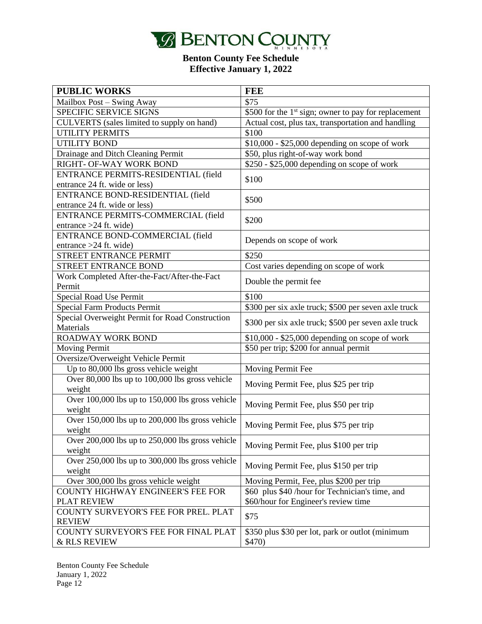

| <b>PUBLIC WORKS</b>                                          | <b>FEE</b>                                                       |
|--------------------------------------------------------------|------------------------------------------------------------------|
| Mailbox Post - Swing Away                                    | \$75                                                             |
| SPECIFIC SERVICE SIGNS                                       | \$500 for the 1 <sup>st</sup> sign; owner to pay for replacement |
| CULVERTS (sales limited to supply on hand)                   | Actual cost, plus tax, transportation and handling               |
| <b>UTILITY PERMITS</b>                                       | \$100                                                            |
| <b>UTILITY BOND</b>                                          | $$10,000 - $25,000$ depending on scope of work                   |
| Drainage and Ditch Cleaning Permit                           | \$50, plus right-of-way work bond                                |
| RIGHT- OF-WAY WORK BOND                                      | \$250 - \$25,000 depending on scope of work                      |
| ENTRANCE PERMITS-RESIDENTIAL (field                          |                                                                  |
| entrance 24 ft. wide or less)                                | \$100                                                            |
| <b>ENTRANCE BOND-RESIDENTIAL (field</b>                      |                                                                  |
| entrance 24 ft. wide or less)                                | \$500                                                            |
| ENTRANCE PERMITS-COMMERCIAL (field                           | \$200                                                            |
| entrance $>24$ ft. wide)                                     |                                                                  |
| ENTRANCE BOND-COMMERCIAL (field                              | Depends on scope of work                                         |
| entrance $>24$ ft. wide)                                     |                                                                  |
| STREET ENTRANCE PERMIT                                       | \$250                                                            |
| STREET ENTRANCE BOND                                         | Cost varies depending on scope of work                           |
| Work Completed After-the-Fact/After-the-Fact                 | Double the permit fee                                            |
| Permit                                                       |                                                                  |
| Special Road Use Permit                                      | \$100                                                            |
| <b>Special Farm Products Permit</b>                          | \$300 per six axle truck; \$500 per seven axle truck             |
| Special Overweight Permit for Road Construction<br>Materials | \$300 per six axle truck; \$500 per seven axle truck             |
| <b>ROADWAY WORK BOND</b>                                     | $$10,000 - $25,000$ depending on scope of work                   |
| <b>Moving Permit</b>                                         | \$50 per trip; \$200 for annual permit                           |
| Oversize/Overweight Vehicle Permit                           |                                                                  |
| Up to 80,000 lbs gross vehicle weight                        | Moving Permit Fee                                                |
| Over 80,000 lbs up to 100,000 lbs gross vehicle<br>weight    | Moving Permit Fee, plus \$25 per trip                            |
| Over 100,000 lbs up to $150,000$ lbs gross vehicle<br>weight | Moving Permit Fee, plus \$50 per trip                            |
| Over 150,000 lbs up to 200,000 lbs gross vehicle<br>weight   | Moving Permit Fee, plus \$75 per trip                            |
| Over 200,000 lbs up to 250,000 lbs gross vehicle             |                                                                  |
| weight                                                       | Moving Permit Fee, plus \$100 per trip                           |
| Over 250,000 lbs up to 300,000 lbs gross vehicle             |                                                                  |
| weight                                                       | Moving Permit Fee, plus \$150 per trip                           |
| Over 300,000 lbs gross vehicle weight                        | Moving Permit, Fee, plus \$200 per trip                          |
| <b>COUNTY HIGHWAY ENGINEER'S FEE FOR</b>                     | \$60 plus \$40 /hour for Technician's time, and                  |
| <b>PLAT REVIEW</b>                                           | \$60/hour for Engineer's review time                             |
| COUNTY SURVEYOR'S FEE FOR PREL. PLAT<br><b>REVIEW</b>        | \$75                                                             |
| COUNTY SURVEYOR'S FEE FOR FINAL PLAT                         | \$350 plus \$30 per lot, park or outlot (minimum                 |
| & RLS REVIEW                                                 | \$470)                                                           |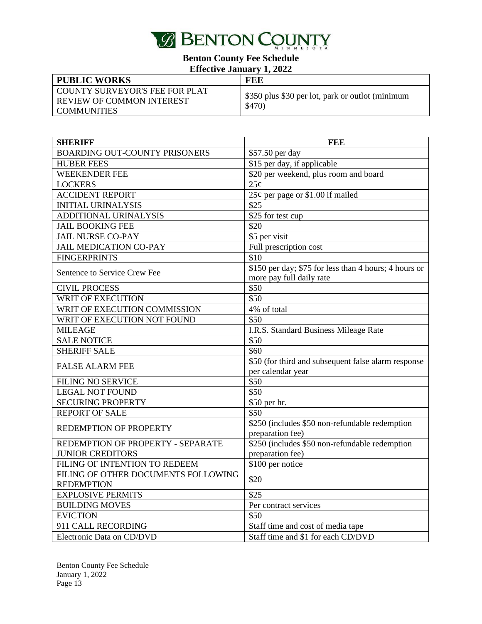

| ________________________                                                      |                                                            |
|-------------------------------------------------------------------------------|------------------------------------------------------------|
| <b>PUBLIC WORKS</b>                                                           | FEE                                                        |
| COUNTY SURVEYOR'S FEE FOR PLAT<br>I REVIEW OF COMMON INTEREST<br>LCOMMUNITIES | \$350 plus \$30 per lot, park or outlot (minimum<br>\$470) |

| <b>SHERIFF</b>                       | <b>FEE</b>                                                                        |
|--------------------------------------|-----------------------------------------------------------------------------------|
| <b>BOARDING OUT-COUNTY PRISONERS</b> | \$57.50 per day                                                                   |
| <b>HUBER FEES</b>                    | \$15 per day, if applicable                                                       |
| <b>WEEKENDER FEE</b>                 | \$20 per weekend, plus room and board                                             |
| <b>LOCKERS</b>                       | 25 <sub>c</sub>                                                                   |
| <b>ACCIDENT REPORT</b>               | 25¢ per page or \$1.00 if mailed                                                  |
| <b>INITIAL URINALYSIS</b>            | $\overline{$}25$                                                                  |
| ADDITIONAL URINALYSIS                | \$25 for test cup                                                                 |
| <b>JAIL BOOKING FEE</b>              | \$20                                                                              |
| <b>JAIL NURSE CO-PAY</b>             | \$5 per visit                                                                     |
| <b>JAIL MEDICATION CO-PAY</b>        | Full prescription cost                                                            |
| <b>FINGERPRINTS</b>                  | \$10                                                                              |
| Sentence to Service Crew Fee         | \$150 per day; \$75 for less than 4 hours; 4 hours or<br>more pay full daily rate |
| <b>CIVIL PROCESS</b>                 | \$50                                                                              |
| <b>WRIT OF EXECUTION</b>             | $\overline{$}50$                                                                  |
| WRIT OF EXECUTION COMMISSION         | 4% of total                                                                       |
| WRIT OF EXECUTION NOT FOUND          | \$50                                                                              |
| <b>MILEAGE</b>                       | I.R.S. Standard Business Mileage Rate                                             |
| <b>SALE NOTICE</b>                   | \$50                                                                              |
| <b>SHERIFF SALE</b>                  | \$60                                                                              |
| <b>FALSE ALARM FEE</b>               | \$50 (for third and subsequent false alarm response<br>per calendar year          |
| <b>FILING NO SERVICE</b>             | \$50                                                                              |
| <b>LEGAL NOT FOUND</b>               | \$50                                                                              |
| <b>SECURING PROPERTY</b>             | \$50 per hr.                                                                      |
| <b>REPORT OF SALE</b>                | \$50                                                                              |
| REDEMPTION OF PROPERTY               | \$250 (includes \$50 non-refundable redemption<br>preparation fee)                |
| REDEMPTION OF PROPERTY - SEPARATE    | \$250 (includes \$50 non-refundable redemption                                    |
| <b>JUNIOR CREDITORS</b>              | preparation fee)                                                                  |
| FILING OF INTENTION TO REDEEM        | \$100 per notice                                                                  |
| FILING OF OTHER DOCUMENTS FOLLOWING  | \$20                                                                              |
| <b>REDEMPTION</b>                    |                                                                                   |
| <b>EXPLOSIVE PERMITS</b>             | \$25                                                                              |
| <b>BUILDING MOVES</b>                | Per contract services                                                             |
| <b>EVICTION</b>                      | \$50                                                                              |
| 911 CALL RECORDING                   | Staff time and cost of media tape                                                 |
| Electronic Data on CD/DVD            | Staff time and \$1 for each CD/DVD                                                |